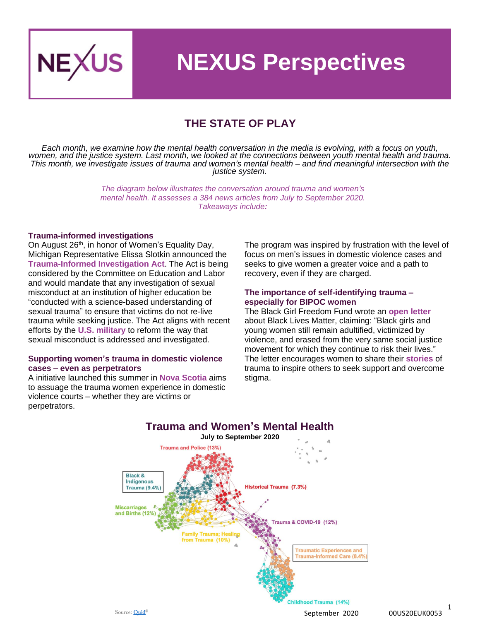

## **NEXUS Perspectives**

### **THE STATE OF PLAY**

*Each month, we examine how the mental health conversation in the media is evolving, with a focus on youth, women, and the justice system. Last month, we looked at the connections between youth mental health and trauma. This month, we investigate issues of trauma and women's mental health – and find meaningful intersection with the justice system.*

> *The diagram below illustrates the conversation around trauma and women's mental health. It assesses a 384 news articles from July to September 2020. Takeaways include:*

#### **Trauma-informed investigations**

On August 26<sup>th</sup>, in honor of Women's Equality Day, Michigan Representative Elissa Slotkin announced the **[Trauma-Informed Investigation Act](https://slotkin.house.gov/media/press-releases/women-s-equality-day-slotkin-announces-legislation-requiring-trauma-informed)**. The Act is being considered by the Committee on Education and Labor and would mandate that any investigation of sexual misconduct at an institution of higher education be "conducted with a science-based understanding of sexual trauma" to ensure that victims do not re-live trauma while seeking justice. The Act aligns with recent efforts by the **[U.S. military](https://www.stripes.com/news/us/air-force-general-issues-apology-to-veteran-about-new-investigation-into-old-rape-case-1.643053)** to reform the way that sexual misconduct is addressed and investigated.

#### **Supporting women's trauma in domestic violence cases – even as perpetrators**

A initiative launched this summer in **[Nova Scotia](https://www.thelawyersdaily.ca/articles/20164/n-s-domestic-violence-court-addresses-issue-of-trauma-with-new-project)** aims to assuage the trauma women experience in domestic violence courts – whether they are victims or perpetrators.

The program was inspired by frustration with the level of focus on men's issues in domestic violence cases and seeks to give women a greater voice and a path to recovery, even if they are charged.

#### **The importance of self-identifying trauma – especially for BIPOC women**

The Black Girl Freedom Fund wrote an **[open letter](https://1billion4blackgirls.org/openletter/)** about Black Lives Matter, claiming: "Black girls and young women still remain adultified, victimized by violence, and erased from the very same social justice movement for which they continue to risk their lives." The letter encourages women to share their **[stories](https://www.wisbar.org/NewsPublications/WisconsinLawyer/Pages/Article.aspx?Volume=93&Issue=7&ArticleID=27869)** of trauma to inspire others to seek support and overcome stigma.

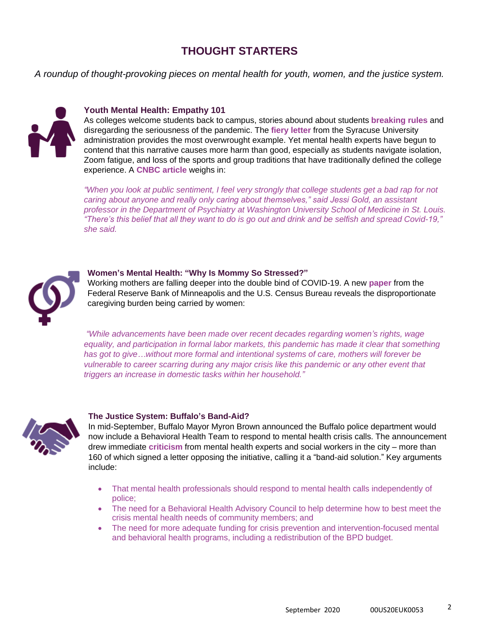### **THOUGHT STARTERS**

*A roundup of thought-provoking pieces on mental health for youth, women, and the justice system.*



#### **Youth Mental Health: Empathy 101**

As colleges welcome students back to campus, stories abound about students **[breaking rules](https://www.nytimes.com/2020/08/22/us/college-campus-covid.html)** and disregarding the seriousness of the pandemic. The **[fiery letter](https://news.syr.edu/blog/2020/08/20/last-nights-selfish-and-reckless-behavior/)** from the Syracuse University administration provides the most overwrought example. Yet mental health experts have begun to contend that this narrative causes more harm than good, especially as students navigate isolation, Zoom fatigue, and loss of the sports and group traditions that have traditionally defined the college experience. A **[CNBC article](https://www.cnbc.com/2020/09/12/stop-demonizing-students-for-covid-19-say-mental-health-experts.html)** weighs in:

*"When you look at public sentiment, I feel very strongly that college students get a bad rap for not caring about anyone and really only caring about themselves," said Jessi Gold, an assistant professor in the Department of Psychiatry at Washington University School of Medicine in St. Louis. "There's this belief that all they want to do is go out and drink and be selfish and spread Covid-19," she said.*



#### **Women's Mental Health: "Why Is Mommy So Stressed?"**

Working mothers are falling deeper into the double bind of COVID-19. A new **[paper](https://www.minneapolisfed.org/institute/working-papers-institute/iwp33.pdf)** from the Federal Reserve Bank of Minneapolis and the U.S. Census Bureau reveals the disproportionate caregiving burden being carried by women:

*"While advancements have been made over recent decades regarding women's rights, wage equality, and participation in formal labor markets, this pandemic has made it clear that something has got to give…without more formal and intentional systems of care, mothers will forever be vulnerable to career scarring during any major crisis like this pandemic or any other event that triggers an increase in domestic tasks within her household."*



#### **The Justice System: Buffalo's Band-Aid?**

In mid-September, Buffalo Mayor Myron Brown announced the Buffalo police department would now include a Behavioral Health Team to respond to mental health crisis calls. The announcement drew immediate **[criticism](https://www.wgrz.com/article/news/local/mental-health-professionals-express-opposition-to-buffalo-police-departments-behavioral-health-team/71-085e623c-d319-4e2b-b8ea-fd6a731fbc95)** from mental health experts and social workers in the city – more than 160 of which signed a letter opposing the initiative, calling it a "band-aid solution." Key arguments include:

- That mental health professionals should respond to mental health calls independently of police;
- The need for a Behavioral Health Advisory Council to help determine how to best meet the crisis mental health needs of community members; and
- The need for more adequate funding for crisis prevention and intervention-focused mental and behavioral health programs, including a redistribution of the BPD budget.